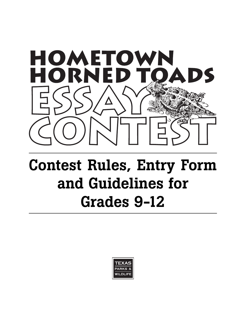

# **Contest Rules, Entry Form and Guidelines for Grades 9-12**

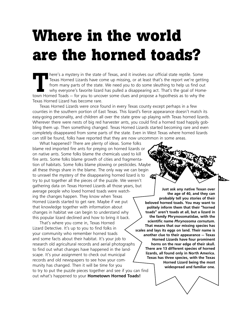# **Where in the world are the horned toads?**

Texas Horned Lizards have come up missing, or at least that's the report we're gett from many parts of the state. We need you to do some sleuthing to help us find our why everyone's favorite lizard has pulled a disappearin Texas Horned Lizards have come up missing, or at least that's the report we're getting from many parts of the state. We need you to do some sleuthing to help us find out why everyone's favorite lizard has pulled a disappearing act. That's the goal of Hometown Horned Toads — for you to uncover some clues and propose a hypothesis as to why the Texas Horned Lizard has become rare.

Texas Horned Lizards were once found in every Texas county except perhaps in a few counties in the southern portion of East Texas. This lizard's fierce appearance doesn't match its easy-going personality, and children all over the state grew up playing with Texas horned lizards. Wherever there were nests of big red harvester ants, you could find a horned toad happily gobbling them up. Then something changed. Texas Horned Lizards started becoming rare and even completely disappeared from some parts of the state. Even in West Texas where horned lizards can still be found, folks have reported that they are now uncommon in some areas.

What happened? There are plenty of ideas. Some folks blame red imported fire ants for preying on horned lizards or on native ants. Some folks blame the chemicals used to kill fire ants. Some folks blame growth of cities and fragmentation of habitats. Some folks blame plowing or pesticides. Maybe all these things share in the blame. The only way we can begin to unravel the mystery of the disappearing horned lizard is to try to put together all the pieces of the puzzle. We weren't gathering data on Texas Horned Lizards all those years, but average people who loved horned toads were watching the changes happen. They know when Texas Horned Lizards started to get rare. Maybe if we put that knowledge together with information about changes in habitat we can begin to understand why this popular lizard declined and how to bring it back.

That's where you come in, Texas Horned Lizard Detective. It's up to you to find folks in your community who remember horned toads and some facts about their habitat. It's your job to research old agricultural records and aerial photographs to find out what changes have happened in the landscape. It's your assignment to check out municipal records and old newspapers to see how your community has changed. Then it will be time for you to try to put the puzzle pieces together and see if you can find out what's happened to your **Hometown Horned Toads!**



**Just ask any native Texan over the age of 40, and they can probably tell you stories of their beloved horned toads. You may want to politely inform them that their "horned toads" aren't toads at all, but a lizard in the family Phrynosomatidae, with the scientific name** *Phrynosoma cornutum***. That means that our missing species has scales and lays its eggs on land. Their name is another clue to their appearance — Texas Horned Lizards have four prominent horns on the rear edge of their skull. There are 13 different species of horned lizards, all found only in North America. Texas has three species, with the Texas Horned Lizard being the most widespread and familiar one.**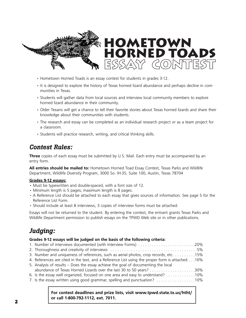

- Hometown Horned Toads is an essay contest for students in grades 3-12.
- It is designed to explore the history of Texas horned lizard abundance and perhaps decline in communities in Texas.
- Students will gather data from local sources and interview local community members to explore horned lizard abundance in their community.
- Older Texans will get a chance to tell their favorite stories about Texas horned lizards and share their knowledge about their communities with students.
- The research and essay can be completed as an individual research project or as a team project for a classroom.
- Students will practice research, writing, and critical thinking skills.

## *Contest Rules:*

**Three** copies of each essay must be submitted by U.S. Mail. Each entry must be accompanied by an entry form.

**All entries should be mailed to:** Hometown Horned Toad Essay Contest, Texas Parks and Wildlife Department, Wildlife Diversity Program, 3000 So. IH-35, Suite 100, Austin, Texas 78704

#### **Grades 9-12 essays:**

- Must be typewritten and double-spaced, with a font size of 12.
- Minimum length is 5 pages; maximum length is 8 pages.
- A Reference List should be attached to each essay that gives sources of information. See page 5 for the Reference List Form.
- Should include at least 8 interviews, 3 copies of interview forms must be attached.

Essays will not be returned to the student. By entering the contest, the entrant grants Texas Parks and Wildlife Department permission to publish essays on the TPWD Web site or in other publications.

## *Judging:*

#### **Grades 9-12 essays will be judged on the basis of the following criteria:**

| 1. Number of interviews documented (with Interview Forms) 20%                                   |  |
|-------------------------------------------------------------------------------------------------|--|
|                                                                                                 |  |
| 3. Number and uniqueness of references, such as aerial photos, crop records, etc. 15%           |  |
| 4. References are cited in the text, and a Reference List using the proper form is attached 10% |  |
| 5. Analysis of results – Does the essay achieve the goal of documenting the local               |  |
|                                                                                                 |  |
| 6. Is the essay well organized, focused on one area and easy to understand? 10%                 |  |
| 7. Is the essay written using good grammar, spelling and punctuation? 10%                       |  |

**For contest deadlines and prize lists, visit www.tpwd.state.tx.us/htht/ or call 1-800-792-1112, ext. 7011.**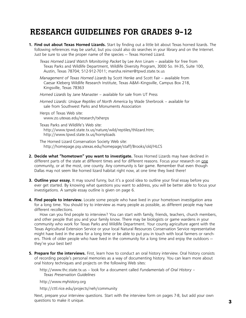# **RESEARCH GUIDELINES FOR GRADES 9-12**

**1. Find out about Texas Horned Lizards.** Start by finding out a little bit about Texas horned lizards. The following references may be useful, but you could also do searches in your library and on the Internet. Just be sure to use the proper name of the species — Texas Horned Lizard.

*Texas Horned Lizard Watch Monitoring Packet* by Lee Ann Linam – available for free from Texas Parks and Wildlife Department, Wildlife Diversity Program, 3000 So. IH-35, Suite 100, Austin, Texas 78704; 512-912-7011; marsha.reimer@tpwd.state.tx.us

*Management of Texas Horned Lizards* by Scott Henke and Scott Fair – available from Caesar Kleberg Wildlife Research Institute, Texas A&M–Kingsville, Campus Box 218, Kingsville, Texas 78363

*Horned Lizards* by Jane Manaster – available for sale from UT Press

*Horned Lizards: Unique Reptiles of North America* by Wade Sherbrook – available for sale from Southwest Parks and Monuments Association

Herps of Texas Web site: www.zo.utexas.edu/research/txherps

Texas Parks and Wildlife's Web site: http://www.tpwd.state.tx.us/nature/wild/reptiles/thlizard.htm; http://www.tpwd.state.tx.us/hornytoads

The Horned Lizard Conservation Society Web site: http://homepage.psy.utexas.edu/homepage/staff/Brooks/old/HLCS

- **2. Decide what "hometown" you want to investigate.** Texas Horned Lizards may have declined in different parts of the state at different times and for different reasons. Focus your research on one community, or at the most, one county. Any community is fair game. Remember that even though Dallas may not seem like horned lizard habitat right now, at one time they lived there!
- **3. Outline your essay.** It may sound funny, but it's a good idea to outline your final essay before you ever get started. By knowing what questions you want to address, you will be better able to focus your investigations. A sample essay outline is given on page 6.
- **4. Find people to interview.** Locate some people who have lived in your hometown investigation area for a long time. You should try to interview as many people as possible, as different people may have different recollections.

How can you find people to interview? You can start with family, friends, teachers, church members, and other people that you and your family know. There may be biologists or game wardens in your community who work for Texas Parks and Wildlife Department. Your county agriculture agent with the Texas Agricultural Extension Service or your local Natural Resources Conservation Service representative might have lived in the area for a long time or be able to put you in touch with local farmers or ranchers. Think of older people who have lived in the community for a long time and enjoy the outdoors – they're your best bet!

**5. Prepare for the interviews.** First, learn how to conduct an oral history interview. Oral history consists of recording people's personal memories as a way of documenting history. You can learn more about oral history techniques and projects on the following Web sites:

http://www.thc.state.tx.us – look for a document called *Fundamentals of Oral History – Texas Preservation Guidelines*

http://www.myhistory.org

http://cttl.rice.edu/projects/neh/community

Next, prepare your interview questions. Start with the interview form on pages 7-8, but add your own questions to make it unique. **3**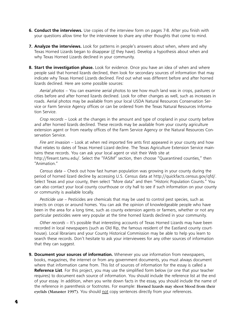- **6. Conduct the interviews.** Use copies of the interview form on pages 7-8. After you finish with your questions allow time for the interviewee to share any other thoughts that come to mind.
- **7. Analyze the interviews.** Look for patterns in people's answers about when, where and why Texas Horned Lizards began to disappear (if they have). Develop a hypothesis about when and why Texas Horned Lizards declined in your community.
- **8. Start the investigation phase.** Look for evidence. Once you have an idea of when and where people said that horned lizards declined, then look for secondary sources of information that may indicate why Texas Horned Lizards declined. Find out what was different before and after horned lizards declined. Here are some possible sources:

*Aerial photos* – You can examine aerial photos to see how much land was in crops, pastures or cities before and after horned lizards declined. Look for other changes as well, such as increases in roads. Aerial photos may be available from your local USDA Natural Resources Conservation Service or Farm Service Agency offices or can be ordered from the Texas Natural Resources Information Service.

*Crop records* – Look at the changes in the amount and type of cropland in your county before and after horned lizards declined. These records may be available from your county agriculture extension agent or from nearby offices of the Farm Service Agency or the Natural Resources Conservation Service.

*Fire ant invasion* – Look at when red imported fire ants first appeared in your county and how that relates to dates of Texas Horned Lizard decline. The Texas Agriculture Extension Service maintains these records. You can ask your local agent or visit their Web site at http://fireant.tamu.edu/. Select the "FASIM" section, then choose "Quarantined counties," then "Animation."

*Census data* – Check out how fast human population was growing in your county during the period of horned lizard decline by accessing U.S. Census data at http://quickfacts.census.gov/qfd/. Select Texas and your county, then select "More data" and then "Historic Population Counts." You can also contact your local county courthouse or city hall to see if such information on your county or community is available locally.

*Pesticide use* – Pesticides are chemicals that may be used to control pest species, such as insects on crops or around homes. You can ask the opinion of knowledgeable people who have been in the area for a long time, such as county extension agents or farmers, whether or not any particular pesticides were very popular at the time horned lizards declined in your community.

*Other records* – It's possible that interesting accounts of Texas Horned Lizards may have been recorded in local newspapers (such as Old Rip, the famous resident of the Eastland county courthouse). Local librarians and your County Historical Commission may be able to help you learn to search these records. Don't hesitate to ask your interviewees for any other sources of information that they can suggest.

**9. Document your sources of information.** Whenever you use information from newspapers, books, magazines, the internet or from any government documents, you must always document where that information came from. This list of sources of information for the essay is called a **Reference List**. For this project, you may use the simplified form below (or one that your teacher requires) to document each source of information. You should include the reference list at the end of your essay. In addition, when you write down facts in the essay, you should include the name of the reference in parenthesis or footnotes. For example: Horned lizards may shoot blood from their eyelids (Manaster 1997). You should not copy sentences directly from your references.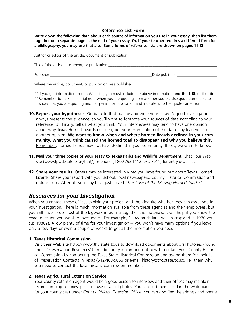#### **Reference List Form**

**Write down the following data about each source of information you use in your essay, then list them together on a separate page at the end of your essay. Or, if your teacher requires a different form for a bibliography, you may use that also. Some forms of reference lists are shown on pages 11-12.**

| Author or editor of the article, document or publication _______________________ |                |  |  |  |
|----------------------------------------------------------------------------------|----------------|--|--|--|
| Title of the article, document, or publication                                   |                |  |  |  |
| Publisher <b>Publisher Publisher</b>                                             | Date published |  |  |  |
| Where the article, document, or publication was published                        |                |  |  |  |

- \*\*If you get information from a Web site, you must include the above information **and the URL** of the site. \*\*Remember to make a special note when you are quoting from another source. Use quotation marks to show that you are quoting another person or publication and indicate who the quote came from.
- **10. Report your hypotheses.** Go back to that outline and write your essay. A good investigator always presents the evidence, so you'll want to footnote your sources of data according to your reference list. Finally, tell us what you think. Your interviewees may tend to have one opinion about why Texas Horned Lizards declined, but your examination of the data may lead you to another opinion. **We want to know when and where horned lizards declined in your community, what you think caused the horned toad to disappear and why you believe this.** Remember, horned lizards may not have declined in your community. If not, we want to know.
- **11. Mail your three copies of your essay to Texas Parks and Wildlife Department.** Check our Web site (www.tpwd.state.tx.us/htht/) or phone (1-800-792-1112, ext. 7011) for entry deadlines.
- 12. Share your results. Others may be interested in what you have found out about Texas Horned Lizards. Share your report with your school, local newspapers, County Historical Commission and nature clubs. After all, you may have just solved *"The Case of the Missing Horned Toads!"*

#### *Resources for your Investigation*

When you contact these offices explain your project and then inquire whether they can assist you in your investigation. There is much information available from these agencies and their employees, but you will have to do most of the legwork in pulling together the materials. It will help if you know the exact question you want to investigate. (For example, "How much land was in cropland in 1970 versus 1980?). Allow plenty of time for your investigation — you won't have many options if you leave only a few days or even a couple of weeks to get all the information you need.

#### **1. Texas Historical Commission**

Visit their Web site http://www.thc.state.tx.us to download documents about oral histories (found under "Preservation Resources"). In addition, you can find out how to contact your County Historical Commission by contacting the Texas State Historical Commission and asking them for their list of Preservation Contacts in Texas (512-463-5853 or e-mail history@thc.state.tx.us). Tell them why you need to contact the local historic commission member.

#### **2. Texas Agricultural Extension Service**

Your county extension agent would be a good person to interview, and their offices may maintain records on crop histories, pesticide use or aerial photos. You can find them listed in the white pages for your county seat under *County Offices, Extension Office*. You can also find the address and phone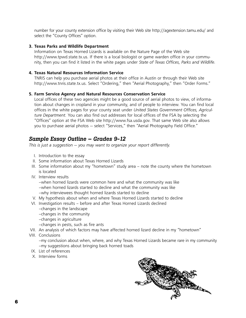number for your county extension office by visiting their Web site http://agextension.tamu.edu/ and select the "County Offices" option.

#### **3. Texas Parks and Wildlife Department**

Information on Texas Horned Lizards is available on the Nature Page of the Web site http://www.tpwd.state.tx.us. If there is a local biologist or game warden office in your community, then you can find it listed in the white pages under *State of Texas Offices, Parks and Wildlife.*

#### **4. Texas Natural Resources Information Service**

TNRIS can help you purchase aerial photos at their office in Austin or through their Web site http://www.tnris.state.tx.us. Select "Ordering," then "Aerial Photography," then "Order Forms."

#### **5. Farm Service Agency and Natural Resources Conservation Service**

Local offices of these two agencies might be a good source of aerial photos to view, of information about changes in cropland in your community, and of people to interview. You can find local offices in the white pages for your county seat under *United States Government Offices, Agriculture Department.* You can also find out addresses for local offices of the FSA by selecting the "Offices" option at the FSA Web site http://www.fsa.usda.gov. That same Web site also allows you to purchase aerial photos — select "Services," then "Aerial Photography Field Office."

#### *Sample Essay Outline – Grades 9-12*

*This is just a suggestion — you may want to organize your report differently.*

- I. Introduction to the essay
- II. Some information about Texas Horned Lizards
- III. Some information about my "hometown" study area note the county where the hometown is located
- IV. Interview results

–when horned lizards were common here and what the community was like –when horned lizards started to decline and what the community was like –why interviewees thought horned lizards started to decline

- V. My hypothesis about when and where Texas Horned Lizards started to decline
- VI. Investigation results before and after Texas Horned Lizards declined
	- –changes in the landscape
	- –changes in the community
	- –changes in agriculture
	- –changes in pests, such as fire ants
- VII. An analysis of which factors may have affected horned lizard decline in my "hometown"
- VIII. Conclusions

–my conclusion about when, where, and why Texas Horned Lizards became rare in my community –my suggestions about bringing back horned toads

- IX. List of references
- X. Interview forms

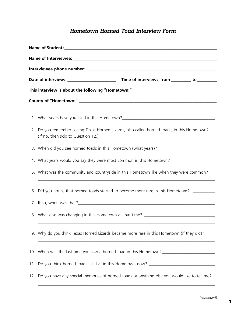### *Hometown Horned Toad Interview Form*

| 1. What years have you lived in this Hometown?___________________________________                    |  |  |  |  |  |
|------------------------------------------------------------------------------------------------------|--|--|--|--|--|
| 2. Do you remember seeing Texas Horned Lizards, also called horned toads, in this Hometown?          |  |  |  |  |  |
|                                                                                                      |  |  |  |  |  |
| 4. What years would you say they were most common in this Hometown? ___________________              |  |  |  |  |  |
| 5. What was the community and countryside in this Hometown like when they were common?               |  |  |  |  |  |
| 6. Did you notice that horned toads started to become more rare in this Hometown?                    |  |  |  |  |  |
|                                                                                                      |  |  |  |  |  |
| 8. What else was changing in this Hometown at that time? ________________________                    |  |  |  |  |  |
| 9. Why do you think Texas Horned Lizards became more rare in this Hometown (if they did)?            |  |  |  |  |  |
| 10. When was the last time you saw a horned toad in this Hometown?__________________________________ |  |  |  |  |  |
|                                                                                                      |  |  |  |  |  |
| 12. Do you have any special memories of horned toads or anything else you would like to tell me?     |  |  |  |  |  |
|                                                                                                      |  |  |  |  |  |

\_\_\_\_\_\_\_\_\_\_\_\_\_\_\_\_\_\_\_\_\_\_\_\_\_\_\_\_\_\_\_\_\_\_\_\_\_\_\_\_\_\_\_\_\_\_\_\_\_\_\_\_\_\_\_\_\_\_\_\_\_\_\_\_\_\_\_\_\_\_\_\_\_\_\_\_\_\_\_\_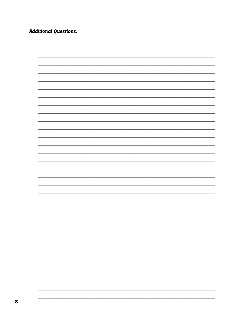**Additional Questions:** 

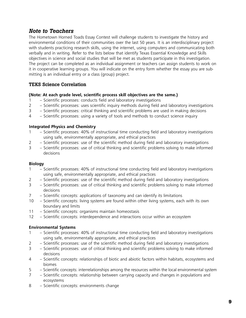#### *Note to Teachers*

The Hometown Horned Toads Essay Contest will challenge students to investigate the history and environmental conditions of their communities over the last 50 years. It is an interdisciplinary project with students practicing research skills, using the internet, using computers and communicating both verbally and in writing. Refer to the lists below that identify Texas Essential Knowledge and Skills objectives in science and social studies that will be met as students participate in this investigation. The project can be completed as an individual assignment or teachers can assign students to work on it in cooperative learning groups. You will indicate on the entry form whether the essay you are submitting is an individual entry or a class (group) project.

#### **TEKS Science Correlation**

#### **(Note: At each grade level, scientific process skill objectives are the same.)**

- 1 Scientific processes: conducts field and laboratory investigations
- 2 Scientific processes: uses scientific inquiry methods during field and laboratory investigations
- 3 Scientific processes: critical thinking and scientific problems are used in making decisions
- 4 Scientific processes: using a variety of tools and methods to conduct science inquiry

#### **Integrated Physics and Chemistry**

- 1 Scientific processes: 40% of instructional time conducting field and laboratory investigations using safe, environmentally appropriate, and ethical practices
- 2 Scientific processes: use of the scientific method during field and laboratory investigations
- 3 Scientific processes: use of critical thinking and scientific problems solving to make informed decisions

#### **Biology**

- 1 Scientific processes: 40% of instructional time conducting field and laboratory investigations using safe, environmentally appropriate, and ethical practices
- 2 Scientific processes: use of the scientific method during field and laboratory investigations
- 3 Scientific processes: use of critical thinking and scientific problems solving to make informed decisions
- 7 Scientific concepts: applications of taxonomy and can identify its limitations
- 10 Scientific concepts: living systems are found within other living systems, each with its own boundary and limits
- 11 Scientific concepts: organisms maintain homeostasis
- 12 Scientific concepts: interdependence and interactions occur within an ecosystem

#### **Environmental Systems**

- 1 Scientific processes: 40% of instructional time conducting field and laboratory investigations using safe, environmentally appropriate, and ethical practices
- 2 Scientific processes: use of the scientific method during field and laboratory investigations
- 3 Scientific processes: use of critical thinking and scientific problems solving to make informed decisions
- 4 Scientific concepts: relationships of biotic and abiotic factors within habitats, ecosystems and biomes
- 5 Scientific concepts: interrelationships among the resources within the local environmental system
- 7 Scientific concepts: relationship between carrying capacity and changes in populations and ecosystems
- 8 Scientific concepts: environments change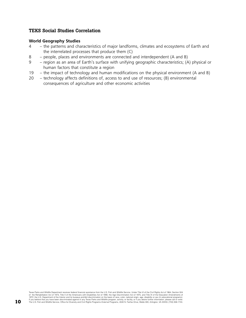#### **TEKS Social Studies Correlation**

#### **World Geography Studies**

- 4 the patterns and characteristics of major landforms, climates and ecosystems of Earth and the interrelated processes that produce them (C)
- 8 people, places and environments are connected and interdependent (A and B)
- 9 region as an area of Earth's surface with unifying geographic characteristics; (A) physical or human factors that constitute a region
- 19 the impact of technology and human modifications on the physical environment (A and B)
- 20 technology affects definitions of, access to and use of resources; (B) environmental consequences of agriculture and other economic activities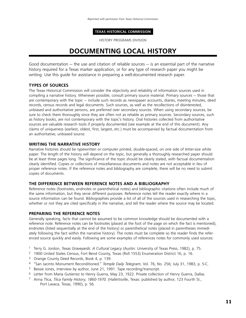#### **TEXAS HISTORICAL COMMISSION**

HISTORY PROGRAMS DIVISION

# **DOCUMENTING LOCAL HISTORY**

Good documentation — the use and citation of reliable sources — is an essential part of the narrative history required for a Texas marker application, or for any type of research paper you might be writing. Use this guide for assistance in preparing a well-documented research paper.

#### **TYPES OF SOURCES**

The Texas Historical Commission will consider the objectivity and reliability of information sources used in compiling a narrative history. Whenever possible, consult primary source material. Primary sources — those that are contemporary with the topic — include such records as newspaper accounts, diaries, meeting minutes, deed records, census records and legal documents. Such sources, as well as the recollections of disinterested, unbiased and authoritative persons, are preferred over secondary sources. When using secondary sources, be sure to check them thoroughly since they are often not as reliable as primary sources. Secondary sources, such as history books, are not contemporary with the topic's history. Oral histories collected from authoritative sources are valuable research tools if properly documented (see example at the end of this document). Any claims of uniqueness (earliest, oldest, first, largest, etc.) must be accompanied by factual documentation from an authoritative, unbiased source.

#### **WRITING THE NARRATIVE HISTORY**

Narrative histories should be typewritten or computer printed, double-spaced, on one side of letter-size white paper. The length of the history will depend on the topic, but generally a thoroughly researched paper should be at least three pages long. The significance of the topic should be clearly stated, with factual documentation clearly identified. Copies or collections of miscellaneous documents and notes are not acceptable in lieu of proper reference notes. If the reference notes and bibliography are complete, there will be no need to submit copies of documents.

#### **THE DIFFERENCE BETWEEN REFERENCE NOTES AND A BIBLIOGRAPHY**

Reference notes (footnotes, endnotes or parenthetical notes) and bibliographic citations often include much of the same information, but they serve different purposes. Reference notes tell the reader exactly where in a source information can be found. Bibliographies provide a list of all of the sources used in researching the topic, whether or not they are cited specifically in the narrative, and tell the reader where the source may be located.

#### **PREPARING THE REFERENCE NOTES**

Generally speaking, facts that cannot be assumed to be common knowledge should be documented with a reference note. Reference notes can be footnotes (placed at the foot of the page on which the fact is mentioned), endnotes (listed sequentially at the end of the history) or parenthetical notes (placed in parentheses immediately following the fact within the narrative history). The notes must be complete so the reader finds the referenced source quickly and easily. Following are some examples of references notes for commonly used sources:

- 1 Terry G. Jordon, *Texas Graveyards: A Cultural Legacy* (Austin: University of Texas Press, 1982), p. 75.
- 2 1900 United States Census, Fort Bend County, Texas (Roll 1553) Enumeration District 16, p. 16.
- <sup>3</sup> Orange County Deed Records, Book 4, p. 139.
- 4 "San Jacinto Monument Reconditioned." *Temple Daily Telegram*, Vol. 76, No. 256; July 31, 1983, p. 5-C.
- 5 Bessie Jones, interview by author, June 21, 1991. Tape recording/transcript.
- 6 Letter from Maria Gutierrez to Henry Guerra, May 23, 1922. Private collection of Henry Guerra, Dallas.
- 7 Anna Tlica, *Tlica Family History, 1860-1970.* (Hallettsville, Texas: published by author, 123 Fourth St., Port Lavaca, Texas, 1990), p. 56.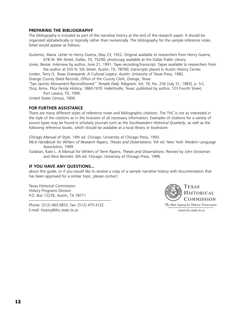#### **PREPARING THE BIBLIOGRAPHY**

The bibliography is included as part of the narrative history at the end of the research paper. It should be organized alphabetically or topically rather than numerically. The bibliography for the sample reference notes listed would appear as follows:

Gutierrez, Maria. Letter to Henry Guerra, May 23, 1922. Original available to researchers from Henry Guerra, 678 W. 9th Street, Dallas, TX, 75200; photocopy available at the Dallas Public Library.

Jones, Bessie. Interview by author, June 21, 1991. Tape recording/transcript. Tapes available to researchers from the author at 555 N. 5th Street, Austin, TX, 78700; transcripts placed in Austin History Center.

Jordan, Terry G. *Texas Graveyards: A Cultural Legacy.* Austin: University of Texas Press, 1982.

Orange County Deed Records, Office of the County Clerk, Orange, Texas

"San Jacinto Monument Reconditioned." *Temple Daily Telegram*, Vol. 76, No. 256 (July 31, 1983), p. 5-C.

Tlica, Anna. *Tlica Family History, 1860-1970.* Hallettsville, Texas: published by author, 123 Fourth Street, Port Lavaca, TX, 1990.

United States Census, 1900.

#### **FOR FURTHER ASSISTANCE**

There are many different styles of reference notes and bibliographic citations. The THC is not as interested in the style of the citations as in the inclusion of all necessary information. Examples of citations for a variety of source types may be found in scholarly journals such as the *Southwestern Historical Quarterly*, as well as the following reference books, which should be available at a local library or bookstore:

*Chicago Manual of Style*, 14th ed. Chicago: University of Chicago Press, 1993.

*MLA Handbook for Writers of Research Papers, Theses and Dissertations*. 5th ed. New York: Modern Language Association, 1999.

Turabian, Kate L. *A Manual for Writers of Term Papers, Theses and Dissertations.* Revised by John Grossman and Alice Bennett. 6th ed. Chicago: University of Chicago Press, 1996.

#### **IF YOU HAVE ANY QUESTIONS…**

about this guide, or if you would like to receive a copy of a sample narrative history with documentation that has been approved for a similar topic, please contact:

Texas Historical Commission History Programs Division P.O. Box 12276, Austin, TX 78711

Phone: (512) 463-5853, Fax: (512) 475-3122 E-mail: history@thc.state.tx.us www.thc.state.tx.us